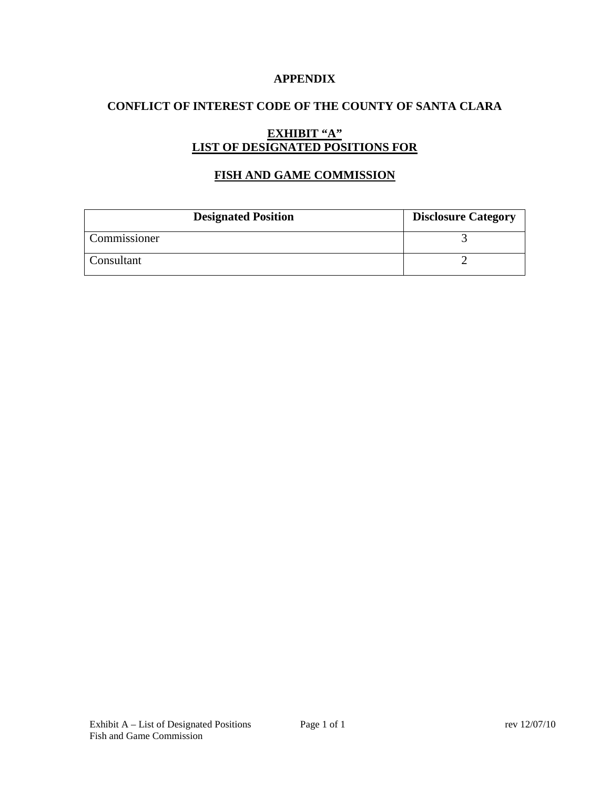### **APPENDIX**

## **CONFLICT OF INTEREST CODE OF THE COUNTY OF SANTA CLARA**

# **EXHIBIT "A" LIST OF DESIGNATED POSITIONS FOR**

## **FISH AND GAME COMMISSION**

| <b>Designated Position</b> | <b>Disclosure Category</b> |
|----------------------------|----------------------------|
| Commissioner               |                            |
| Consultant                 |                            |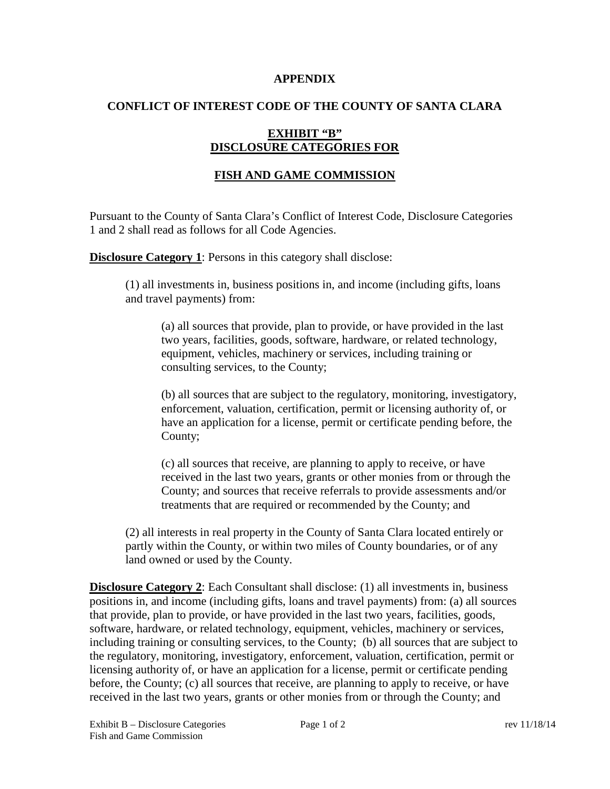#### **APPENDIX**

### **CONFLICT OF INTEREST CODE OF THE COUNTY OF SANTA CLARA**

## **EXHIBIT "B" DISCLOSURE CATEGORIES FOR**

## **FISH AND GAME COMMISSION**

Pursuant to the County of Santa Clara's Conflict of Interest Code, Disclosure Categories 1 and 2 shall read as follows for all Code Agencies.

**Disclosure Category 1:** Persons in this category shall disclose:

(1) all investments in, business positions in, and income (including gifts, loans and travel payments) from:

(a) all sources that provide, plan to provide, or have provided in the last two years, facilities, goods, software, hardware, or related technology, equipment, vehicles, machinery or services, including training or consulting services, to the County;

(b) all sources that are subject to the regulatory, monitoring, investigatory, enforcement, valuation, certification, permit or licensing authority of, or have an application for a license, permit or certificate pending before, the County;

(c) all sources that receive, are planning to apply to receive, or have received in the last two years, grants or other monies from or through the County; and sources that receive referrals to provide assessments and/or treatments that are required or recommended by the County; and

(2) all interests in real property in the County of Santa Clara located entirely or partly within the County, or within two miles of County boundaries, or of any land owned or used by the County.

**Disclosure Category 2:** Each Consultant shall disclose: (1) all investments in, business positions in, and income (including gifts, loans and travel payments) from: (a) all sources that provide, plan to provide, or have provided in the last two years, facilities, goods, software, hardware, or related technology, equipment, vehicles, machinery or services, including training or consulting services, to the County; (b) all sources that are subject to the regulatory, monitoring, investigatory, enforcement, valuation, certification, permit or licensing authority of, or have an application for a license, permit or certificate pending before, the County; (c) all sources that receive, are planning to apply to receive, or have received in the last two years, grants or other monies from or through the County; and